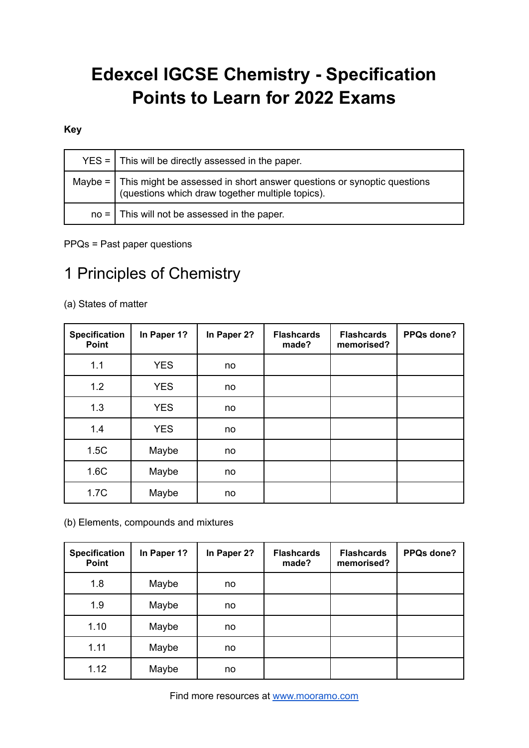# **Edexcel IGCSE Chemistry - Specification Points to Learn for 2022 Exams**

#### **Key**

| $YES =   This will be directly assessed in the paper.$                                                                                  |
|-----------------------------------------------------------------------------------------------------------------------------------------|
| Maybe = $\vert$ This might be assessed in short answer questions or synoptic questions (questions which draw together multiple topics). |
| $no =$ This will not be assessed in the paper.                                                                                          |

PPQs = Past paper questions

## 1 Principles of Chemistry

(a) States of matter

| <b>Specification</b><br>Point | In Paper 1? | In Paper 2? | <b>Flashcards</b><br>made? | <b>Flashcards</b><br>memorised? | PPQs done? |
|-------------------------------|-------------|-------------|----------------------------|---------------------------------|------------|
| 1.1                           | <b>YES</b>  | no          |                            |                                 |            |
| 1.2                           | <b>YES</b>  | no          |                            |                                 |            |
| 1.3                           | <b>YES</b>  | no          |                            |                                 |            |
| 1.4                           | <b>YES</b>  | no          |                            |                                 |            |
| 1.5C                          | Maybe       | no          |                            |                                 |            |
| 1.6C                          | Maybe       | no          |                            |                                 |            |
| 1.7C                          | Maybe       | no          |                            |                                 |            |

(b) Elements, compounds and mixtures

| <b>Specification</b><br>Point | In Paper 1? | In Paper 2? | <b>Flashcards</b><br>made? | <b>Flashcards</b><br>memorised? | PPQs done? |
|-------------------------------|-------------|-------------|----------------------------|---------------------------------|------------|
| 1.8                           | Maybe       | no          |                            |                                 |            |
| 1.9                           | Maybe       | no          |                            |                                 |            |
| 1.10                          | Maybe       | no          |                            |                                 |            |
| 1.11                          | Maybe       | no          |                            |                                 |            |
| 1.12                          | Maybe       | no          |                            |                                 |            |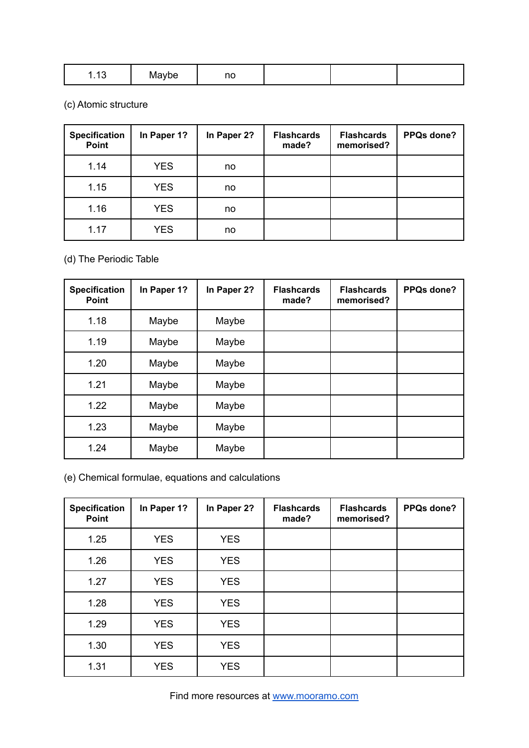| $\overline{\phantom{a}}$<br>.<br>- ME<br>ivbe<br>ں ، . | $\sim$<br>''<br>. |  |  |  |
|--------------------------------------------------------|-------------------|--|--|--|
|--------------------------------------------------------|-------------------|--|--|--|

(c) Atomic structure

| <b>Specification</b><br>Point | In Paper 1? | In Paper 2? | <b>Flashcards</b><br>made? | <b>Flashcards</b><br>memorised? | PPQs done? |
|-------------------------------|-------------|-------------|----------------------------|---------------------------------|------------|
| 1.14                          | <b>YES</b>  | no          |                            |                                 |            |
| 1.15                          | <b>YES</b>  | no          |                            |                                 |            |
| 1.16                          | <b>YES</b>  | no          |                            |                                 |            |
| 1.17                          | <b>YES</b>  | no          |                            |                                 |            |

### (d) The Periodic Table

| <b>Specification</b><br><b>Point</b> | In Paper 1? | In Paper 2? | <b>Flashcards</b><br>made? | <b>Flashcards</b><br>memorised? | PPQs done? |
|--------------------------------------|-------------|-------------|----------------------------|---------------------------------|------------|
| 1.18                                 | Maybe       | Maybe       |                            |                                 |            |
| 1.19                                 | Maybe       | Maybe       |                            |                                 |            |
| 1.20                                 | Maybe       | Maybe       |                            |                                 |            |
| 1.21                                 | Maybe       | Maybe       |                            |                                 |            |
| 1.22                                 | Maybe       | Maybe       |                            |                                 |            |
| 1.23                                 | Maybe       | Maybe       |                            |                                 |            |
| 1.24                                 | Maybe       | Maybe       |                            |                                 |            |

(e) Chemical formulae, equations and calculations

| <b>Specification</b><br>Point | In Paper 1? | In Paper 2? | <b>Flashcards</b><br>made? | <b>Flashcards</b><br>memorised? | PPQs done? |
|-------------------------------|-------------|-------------|----------------------------|---------------------------------|------------|
| 1.25                          | <b>YES</b>  | <b>YES</b>  |                            |                                 |            |
| 1.26                          | <b>YES</b>  | <b>YES</b>  |                            |                                 |            |
| 1.27                          | <b>YES</b>  | <b>YES</b>  |                            |                                 |            |
| 1.28                          | <b>YES</b>  | <b>YES</b>  |                            |                                 |            |
| 1.29                          | <b>YES</b>  | <b>YES</b>  |                            |                                 |            |
| 1.30                          | <b>YES</b>  | <b>YES</b>  |                            |                                 |            |
| 1.31                          | <b>YES</b>  | <b>YES</b>  |                            |                                 |            |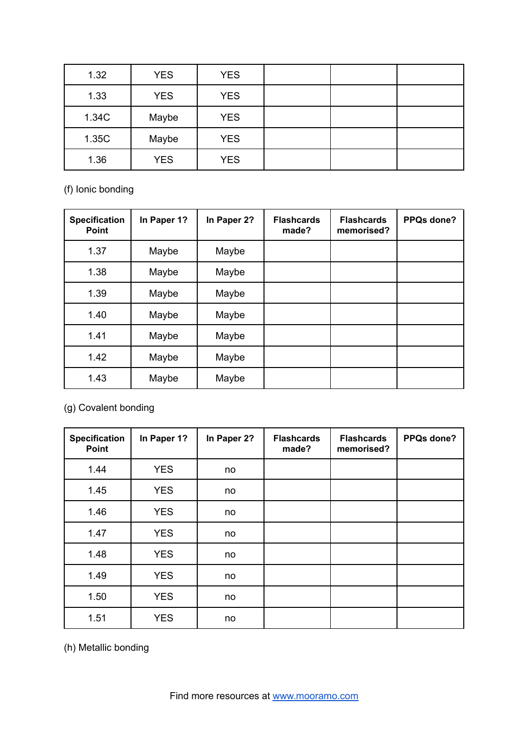| 1.32  | <b>YES</b> | <b>YES</b> |  |  |
|-------|------------|------------|--|--|
| 1.33  | <b>YES</b> | <b>YES</b> |  |  |
| 1.34C | Maybe      | <b>YES</b> |  |  |
| 1.35C | Maybe      | <b>YES</b> |  |  |
| 1.36  | <b>YES</b> | <b>YES</b> |  |  |

(f) Ionic bonding

| <b>Specification</b><br><b>Point</b> | In Paper 1? | In Paper 2? | <b>Flashcards</b><br>made? | <b>Flashcards</b><br>memorised? | PPQs done? |
|--------------------------------------|-------------|-------------|----------------------------|---------------------------------|------------|
| 1.37                                 | Maybe       | Maybe       |                            |                                 |            |
| 1.38                                 | Maybe       | Maybe       |                            |                                 |            |
| 1.39                                 | Maybe       | Maybe       |                            |                                 |            |
| 1.40                                 | Maybe       | Maybe       |                            |                                 |            |
| 1.41                                 | Maybe       | Maybe       |                            |                                 |            |
| 1.42                                 | Maybe       | Maybe       |                            |                                 |            |
| 1.43                                 | Maybe       | Maybe       |                            |                                 |            |

(g) Covalent bonding

| <b>Specification</b><br>Point | In Paper 1? | In Paper 2? | <b>Flashcards</b><br>made? | <b>Flashcards</b><br>memorised? | PPQs done? |
|-------------------------------|-------------|-------------|----------------------------|---------------------------------|------------|
| 1.44                          | <b>YES</b>  | no          |                            |                                 |            |
| 1.45                          | <b>YES</b>  | no          |                            |                                 |            |
| 1.46                          | <b>YES</b>  | no          |                            |                                 |            |
| 1.47                          | <b>YES</b>  | no          |                            |                                 |            |
| 1.48                          | <b>YES</b>  | no          |                            |                                 |            |
| 1.49                          | <b>YES</b>  | no          |                            |                                 |            |
| 1.50                          | <b>YES</b>  | no          |                            |                                 |            |
| 1.51                          | <b>YES</b>  | no          |                            |                                 |            |

(h) Metallic bonding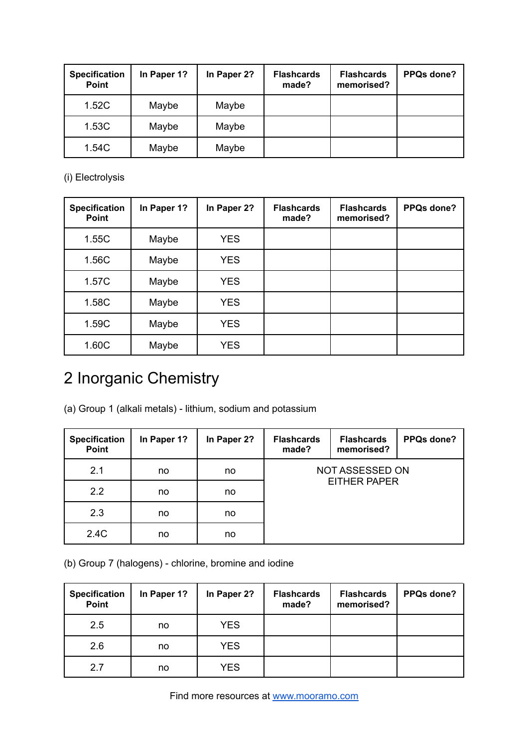| <b>Specification</b><br>Point | In Paper 1? | In Paper 2? | <b>Flashcards</b><br>made? | <b>Flashcards</b><br>memorised? | <b>PPQs done?</b> |
|-------------------------------|-------------|-------------|----------------------------|---------------------------------|-------------------|
| 1.52C                         | Maybe       | Maybe       |                            |                                 |                   |
| 1.53C                         | Maybe       | Maybe       |                            |                                 |                   |
| 1.54C                         | Maybe       | Maybe       |                            |                                 |                   |

(i) Electrolysis

| <b>Specification</b><br><b>Point</b> | In Paper 1? | In Paper 2? | <b>Flashcards</b><br>made? | <b>Flashcards</b><br>memorised? | PPQs done? |
|--------------------------------------|-------------|-------------|----------------------------|---------------------------------|------------|
| 1.55C                                | Maybe       | <b>YES</b>  |                            |                                 |            |
| 1.56C                                | Maybe       | <b>YES</b>  |                            |                                 |            |
| 1.57C                                | Maybe       | <b>YES</b>  |                            |                                 |            |
| 1.58C                                | Maybe       | <b>YES</b>  |                            |                                 |            |
| 1.59C                                | Maybe       | <b>YES</b>  |                            |                                 |            |
| 1.60C                                | Maybe       | <b>YES</b>  |                            |                                 |            |

# 2 Inorganic Chemistry

(a) Group 1 (alkali metals) - lithium, sodium and potassium

| <b>Specification</b><br>Point | In Paper 1? | In Paper 2? | <b>Flashcards</b><br>made? | <b>Flashcards</b><br>memorised? | PPQs done? |  |
|-------------------------------|-------------|-------------|----------------------------|---------------------------------|------------|--|
| 2.1                           | no          | no          | NOT ASSESSED ON            |                                 |            |  |
| 2.2                           | no          | no          | <b>EITHER PAPER</b>        |                                 |            |  |
| 2.3                           | no          | no          |                            |                                 |            |  |
| 2.4C                          | no          | no          |                            |                                 |            |  |

(b) Group 7 (halogens) - chlorine, bromine and iodine

| <b>Specification</b><br>Point | In Paper 1? | In Paper 2? | <b>Flashcards</b><br>made? | <b>Flashcards</b><br>memorised? | <b>PPQs done?</b> |
|-------------------------------|-------------|-------------|----------------------------|---------------------------------|-------------------|
| 2.5                           | no          | <b>YES</b>  |                            |                                 |                   |
| 2.6                           | no          | <b>YES</b>  |                            |                                 |                   |
| 2.7                           | no          | <b>YES</b>  |                            |                                 |                   |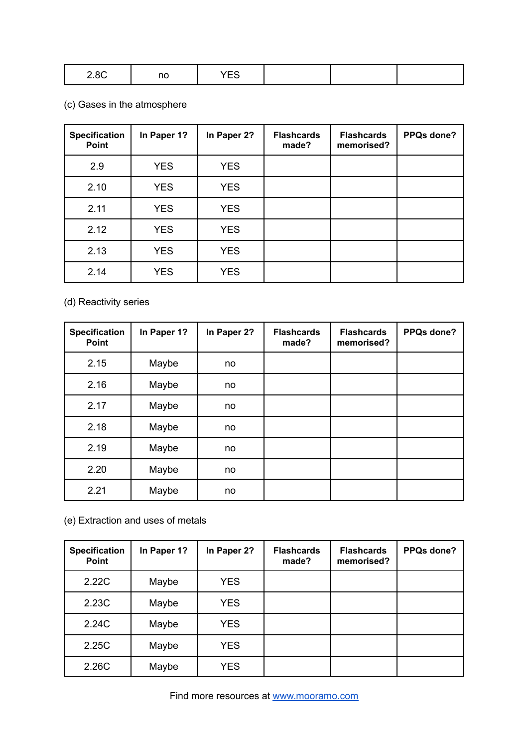| 200<br>$2.0\circ$ | - יי | $\sim$<br>. |  |  |  |
|-------------------|------|-------------|--|--|--|
|-------------------|------|-------------|--|--|--|

## (c) Gases in the atmosphere

| <b>Specification</b><br><b>Point</b> | In Paper 1? | In Paper 2? | <b>Flashcards</b><br>made? | <b>Flashcards</b><br>memorised? | PPQs done? |
|--------------------------------------|-------------|-------------|----------------------------|---------------------------------|------------|
| 2.9                                  | <b>YES</b>  | <b>YES</b>  |                            |                                 |            |
| 2.10                                 | <b>YES</b>  | <b>YES</b>  |                            |                                 |            |
| 2.11                                 | <b>YES</b>  | <b>YES</b>  |                            |                                 |            |
| 2.12                                 | <b>YES</b>  | <b>YES</b>  |                            |                                 |            |
| 2.13                                 | <b>YES</b>  | <b>YES</b>  |                            |                                 |            |
| 2.14                                 | <b>YES</b>  | <b>YES</b>  |                            |                                 |            |

(d) Reactivity series

| <b>Specification</b><br>Point | In Paper 1? | In Paper 2? | <b>Flashcards</b><br>made? | <b>Flashcards</b><br>memorised? | PPQs done? |
|-------------------------------|-------------|-------------|----------------------------|---------------------------------|------------|
| 2.15                          | Maybe       | no          |                            |                                 |            |
| 2.16                          | Maybe       | no          |                            |                                 |            |
| 2.17                          | Maybe       | no          |                            |                                 |            |
| 2.18                          | Maybe       | no          |                            |                                 |            |
| 2.19                          | Maybe       | no          |                            |                                 |            |
| 2.20                          | Maybe       | no          |                            |                                 |            |
| 2.21                          | Maybe       | no          |                            |                                 |            |

(e) Extraction and uses of metals

| <b>Specification</b><br><b>Point</b> | In Paper 1? | In Paper 2? | <b>Flashcards</b><br>made? | <b>Flashcards</b><br>memorised? | PPQs done? |
|--------------------------------------|-------------|-------------|----------------------------|---------------------------------|------------|
| 2.22C                                | Maybe       | <b>YES</b>  |                            |                                 |            |
| 2.23C                                | Maybe       | <b>YES</b>  |                            |                                 |            |
| 2.24C                                | Maybe       | <b>YES</b>  |                            |                                 |            |
| 2.25C                                | Maybe       | <b>YES</b>  |                            |                                 |            |
| 2.26C                                | Maybe       | <b>YES</b>  |                            |                                 |            |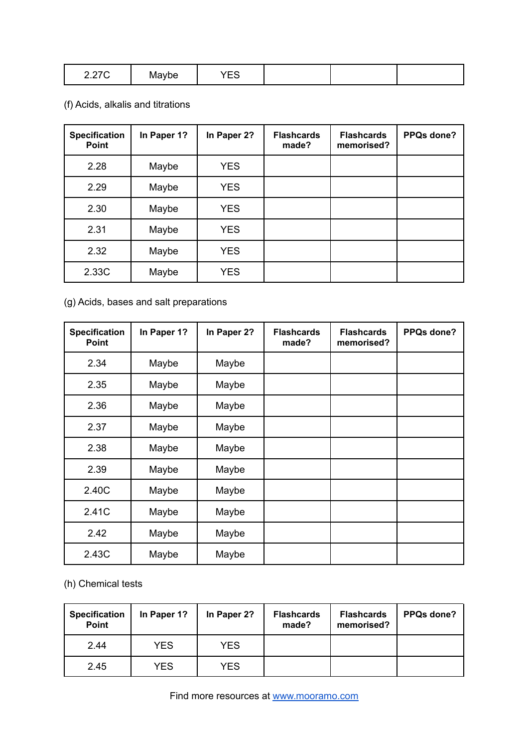| 0.27<br>2.21 V | Maybe | $\sim$<br>$-\check{ }$ |  |  |  |
|----------------|-------|------------------------|--|--|--|
|----------------|-------|------------------------|--|--|--|

## (f) Acids, alkalis and titrations

| <b>Specification</b><br><b>Point</b> | In Paper 1? | In Paper 2? | <b>Flashcards</b><br>made? | <b>Flashcards</b><br>memorised? | PPQs done? |
|--------------------------------------|-------------|-------------|----------------------------|---------------------------------|------------|
| 2.28                                 | Maybe       | <b>YES</b>  |                            |                                 |            |
| 2.29                                 | Maybe       | <b>YES</b>  |                            |                                 |            |
| 2.30                                 | Maybe       | <b>YES</b>  |                            |                                 |            |
| 2.31                                 | Maybe       | <b>YES</b>  |                            |                                 |            |
| 2.32                                 | Maybe       | <b>YES</b>  |                            |                                 |            |
| 2.33C                                | Maybe       | <b>YES</b>  |                            |                                 |            |

### (g) Acids, bases and salt preparations

| <b>Specification</b><br><b>Point</b> | In Paper 1? | In Paper 2? | <b>Flashcards</b><br>made? | <b>Flashcards</b><br>memorised? | PPQs done? |
|--------------------------------------|-------------|-------------|----------------------------|---------------------------------|------------|
| 2.34                                 | Maybe       | Maybe       |                            |                                 |            |
| 2.35                                 | Maybe       | Maybe       |                            |                                 |            |
| 2.36                                 | Maybe       | Maybe       |                            |                                 |            |
| 2.37                                 | Maybe       | Maybe       |                            |                                 |            |
| 2.38                                 | Maybe       | Maybe       |                            |                                 |            |
| 2.39                                 | Maybe       | Maybe       |                            |                                 |            |
| 2.40C                                | Maybe       | Maybe       |                            |                                 |            |
| 2.41C                                | Maybe       | Maybe       |                            |                                 |            |
| 2.42                                 | Maybe       | Maybe       |                            |                                 |            |
| 2.43C                                | Maybe       | Maybe       |                            |                                 |            |

(h) Chemical tests

| <b>Specification</b><br>Point | In Paper 1? | In Paper 2? | <b>Flashcards</b><br>made? | <b>Flashcards</b><br>memorised? | PPQs done? |
|-------------------------------|-------------|-------------|----------------------------|---------------------------------|------------|
| 2.44                          | <b>YES</b>  | <b>YES</b>  |                            |                                 |            |
| 2.45                          | YES         | <b>YES</b>  |                            |                                 |            |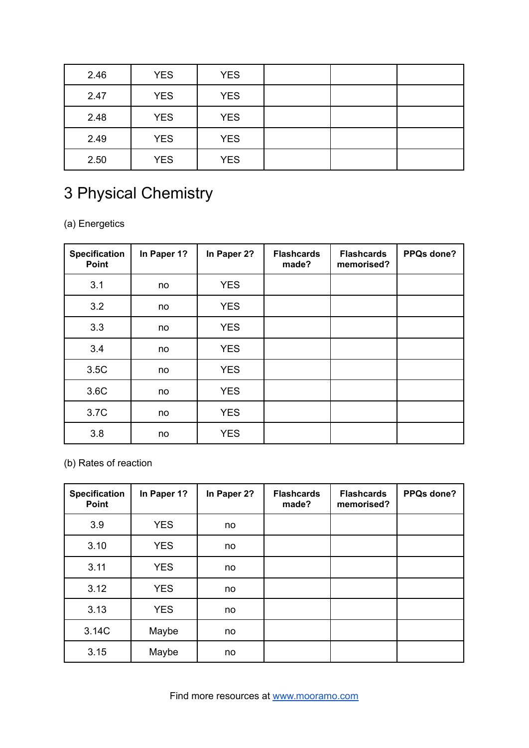| 2.46 | <b>YES</b> | <b>YES</b> |  |  |
|------|------------|------------|--|--|
| 2.47 | <b>YES</b> | <b>YES</b> |  |  |
| 2.48 | <b>YES</b> | <b>YES</b> |  |  |
| 2.49 | <b>YES</b> | <b>YES</b> |  |  |
| 2.50 | <b>YES</b> | <b>YES</b> |  |  |

# 3 Physical Chemistry

(a) Energetics

| <b>Specification</b><br>Point | In Paper 1? | In Paper 2? | <b>Flashcards</b><br>made? | <b>Flashcards</b><br>memorised? | PPQs done? |
|-------------------------------|-------------|-------------|----------------------------|---------------------------------|------------|
| 3.1                           | no          | <b>YES</b>  |                            |                                 |            |
| 3.2                           | no          | <b>YES</b>  |                            |                                 |            |
| 3.3                           | no          | <b>YES</b>  |                            |                                 |            |
| 3.4                           | no          | <b>YES</b>  |                            |                                 |            |
| 3.5C                          | no          | <b>YES</b>  |                            |                                 |            |
| 3.6C                          | no          | <b>YES</b>  |                            |                                 |            |
| 3.7C                          | no          | <b>YES</b>  |                            |                                 |            |
| 3.8                           | no          | <b>YES</b>  |                            |                                 |            |

(b) Rates of reaction

| <b>Specification</b><br>Point | In Paper 1? | In Paper 2? | <b>Flashcards</b><br>made? | <b>Flashcards</b><br>memorised? | PPQs done? |
|-------------------------------|-------------|-------------|----------------------------|---------------------------------|------------|
| 3.9                           | <b>YES</b>  | no          |                            |                                 |            |
| 3.10                          | <b>YES</b>  | no          |                            |                                 |            |
| 3.11                          | <b>YES</b>  | no          |                            |                                 |            |
| 3.12                          | <b>YES</b>  | no          |                            |                                 |            |
| 3.13                          | <b>YES</b>  | no          |                            |                                 |            |
| 3.14C                         | Maybe       | no          |                            |                                 |            |
| 3.15                          | Maybe       | no          |                            |                                 |            |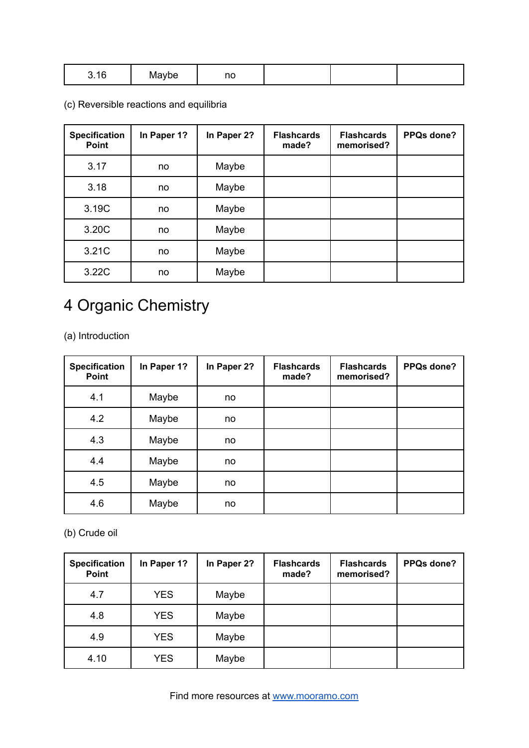| $\overline{a}$<br>16<br>J. IU<br>. | avbe<br>ייים | nc |  |  |  |
|------------------------------------|--------------|----|--|--|--|
|------------------------------------|--------------|----|--|--|--|

(c) Reversible reactions and equilibria

| <b>Specification</b><br><b>Point</b> | In Paper 1? | In Paper 2? | <b>Flashcards</b><br>made? | <b>Flashcards</b><br>memorised? | PPQs done? |
|--------------------------------------|-------------|-------------|----------------------------|---------------------------------|------------|
| 3.17                                 | no          | Maybe       |                            |                                 |            |
| 3.18                                 | no          | Maybe       |                            |                                 |            |
| 3.19C                                | no          | Maybe       |                            |                                 |            |
| 3.20C                                | no          | Maybe       |                            |                                 |            |
| 3.21C                                | no          | Maybe       |                            |                                 |            |
| 3.22C                                | no          | Maybe       |                            |                                 |            |

## 4 Organic Chemistry

(a) Introduction

| <b>Specification</b><br>Point | In Paper 1? | In Paper 2? | <b>Flashcards</b><br>made? | <b>Flashcards</b><br>memorised? | PPQs done? |
|-------------------------------|-------------|-------------|----------------------------|---------------------------------|------------|
| 4.1                           | Maybe       | no          |                            |                                 |            |
| 4.2                           | Maybe       | no          |                            |                                 |            |
| 4.3                           | Maybe       | no          |                            |                                 |            |
| 4.4                           | Maybe       | no          |                            |                                 |            |
| 4.5                           | Maybe       | no          |                            |                                 |            |
| 4.6                           | Maybe       | no          |                            |                                 |            |

(b) Crude oil

| <b>Specification</b><br>Point | In Paper 1? | In Paper 2? | <b>Flashcards</b><br>made? | <b>Flashcards</b><br>memorised? | PPQs done? |
|-------------------------------|-------------|-------------|----------------------------|---------------------------------|------------|
| 4.7                           | <b>YES</b>  | Maybe       |                            |                                 |            |
| 4.8                           | <b>YES</b>  | Maybe       |                            |                                 |            |
| 4.9                           | <b>YES</b>  | Maybe       |                            |                                 |            |
| 4.10                          | <b>YES</b>  | Maybe       |                            |                                 |            |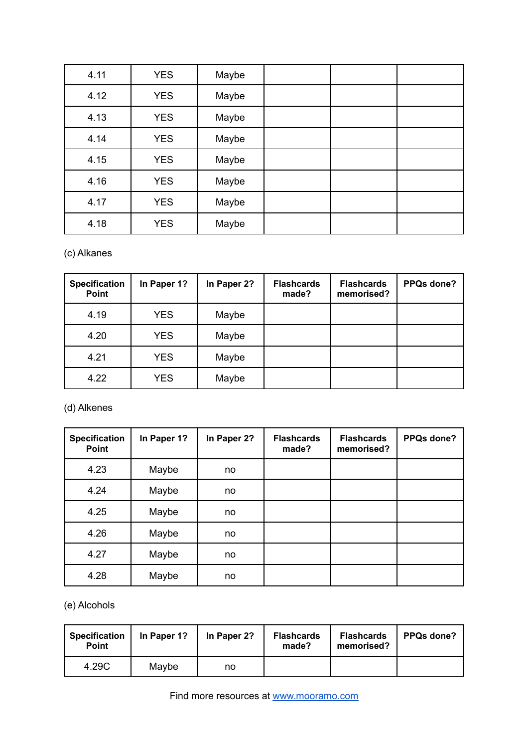| 4.11 | <b>YES</b> | Maybe |  |  |
|------|------------|-------|--|--|
| 4.12 | <b>YES</b> | Maybe |  |  |
| 4.13 | <b>YES</b> | Maybe |  |  |
| 4.14 | <b>YES</b> | Maybe |  |  |
| 4.15 | <b>YES</b> | Maybe |  |  |
| 4.16 | <b>YES</b> | Maybe |  |  |
| 4.17 | <b>YES</b> | Maybe |  |  |
| 4.18 | <b>YES</b> | Maybe |  |  |

### (c) Alkanes

| <b>Specification</b><br><b>Point</b> | In Paper 1? | In Paper 2? | <b>Flashcards</b><br>made? | <b>Flashcards</b><br>memorised? | PPQs done? |
|--------------------------------------|-------------|-------------|----------------------------|---------------------------------|------------|
| 4.19                                 | <b>YES</b>  | Maybe       |                            |                                 |            |
| 4.20                                 | <b>YES</b>  | Maybe       |                            |                                 |            |
| 4.21                                 | <b>YES</b>  | Maybe       |                            |                                 |            |
| 4.22                                 | <b>YES</b>  | Maybe       |                            |                                 |            |

### (d) Alkenes

| <b>Specification</b><br><b>Point</b> | In Paper 1? | In Paper 2? | <b>Flashcards</b><br>made? | <b>Flashcards</b><br>memorised? | PPQs done? |
|--------------------------------------|-------------|-------------|----------------------------|---------------------------------|------------|
| 4.23                                 | Maybe       | no          |                            |                                 |            |
| 4.24                                 | Maybe       | no          |                            |                                 |            |
| 4.25                                 | Maybe       | no          |                            |                                 |            |
| 4.26                                 | Maybe       | no          |                            |                                 |            |
| 4.27                                 | Maybe       | no          |                            |                                 |            |
| 4.28                                 | Maybe       | no          |                            |                                 |            |

(e) Alcohols

| <b>Specification</b><br><b>Point</b> | In Paper 1? | In Paper 2? | <b>Flashcards</b><br>made? | <b>Flashcards</b><br>memorised? | <b>PPQs done?</b> |
|--------------------------------------|-------------|-------------|----------------------------|---------------------------------|-------------------|
| 4.29C                                | Maybe       | no          |                            |                                 |                   |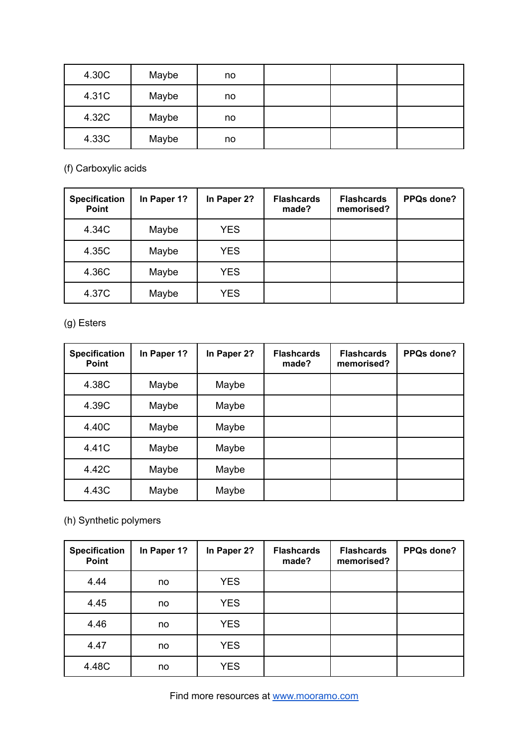| 4.30C | Maybe | no |  |  |
|-------|-------|----|--|--|
| 4.31C | Maybe | no |  |  |
| 4.32C | Maybe | no |  |  |
| 4.33C | Maybe | no |  |  |

(f) Carboxylic acids

| <b>Specification</b><br>Point | In Paper 1? | In Paper 2? | <b>Flashcards</b><br>made? | <b>Flashcards</b><br>memorised? | PPQs done? |
|-------------------------------|-------------|-------------|----------------------------|---------------------------------|------------|
| 4.34C                         | Maybe       | <b>YES</b>  |                            |                                 |            |
| 4.35C                         | Maybe       | <b>YES</b>  |                            |                                 |            |
| 4.36C                         | Maybe       | <b>YES</b>  |                            |                                 |            |
| 4.37C                         | Maybe       | <b>YES</b>  |                            |                                 |            |

(g) Esters

| <b>Specification</b><br><b>Point</b> | In Paper 1? | In Paper 2? | <b>Flashcards</b><br>made? | <b>Flashcards</b><br>memorised? | PPQs done? |
|--------------------------------------|-------------|-------------|----------------------------|---------------------------------|------------|
| 4.38C                                | Maybe       | Maybe       |                            |                                 |            |
| 4.39C                                | Maybe       | Maybe       |                            |                                 |            |
| 4.40C                                | Maybe       | Maybe       |                            |                                 |            |
| 4.41C                                | Maybe       | Maybe       |                            |                                 |            |
| 4.42C                                | Maybe       | Maybe       |                            |                                 |            |
| 4.43C                                | Maybe       | Maybe       |                            |                                 |            |

(h) Synthetic polymers

| <b>Specification</b><br>Point | In Paper 1? | In Paper 2? | <b>Flashcards</b><br>made? | <b>Flashcards</b><br>memorised? | PPQs done? |
|-------------------------------|-------------|-------------|----------------------------|---------------------------------|------------|
| 4.44                          | no          | <b>YES</b>  |                            |                                 |            |
| 4.45                          | no          | <b>YES</b>  |                            |                                 |            |
| 4.46                          | no          | <b>YES</b>  |                            |                                 |            |
| 4.47                          | no          | <b>YES</b>  |                            |                                 |            |
| 4.48C                         | no          | <b>YES</b>  |                            |                                 |            |